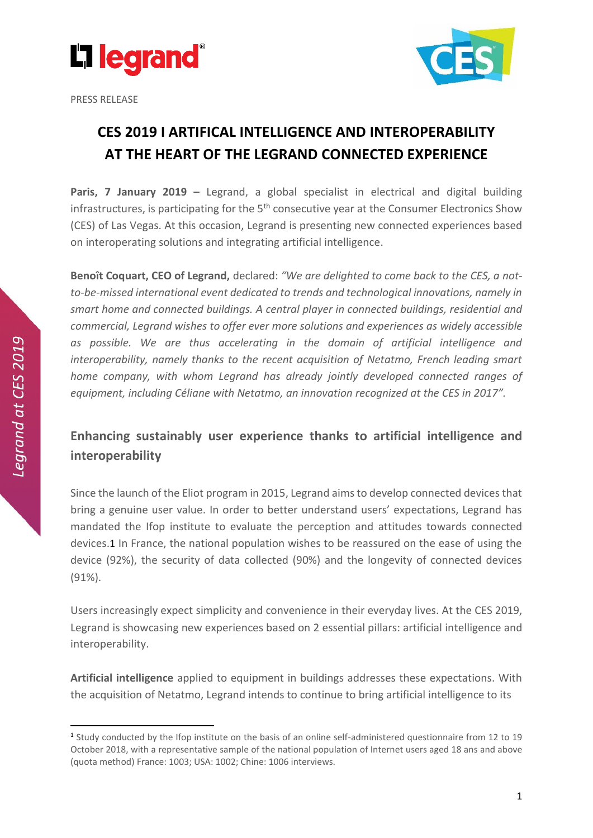

PRESS RELEASE



## **CES 2019 I ARTIFICAL INTELLIGENCE AND INTEROPERABILITY AT THE HEART OF THE LEGRAND CONNECTED EXPERIENCE**

**Paris, 7 January 2019 –** Legrand, a global specialist in electrical and digital building infrastructures, is participating for the  $5<sup>th</sup>$  consecutive year at the Consumer Electronics Show (CES) of Las Vegas. At this occasion, Legrand is presenting new connected experiences based on interoperating solutions and integrating artificial intelligence.

**Benoît Coquart, CEO of Legrand,** declared: *"We are delighted to come back to the CES, a notto-be-missed international event dedicated to trends and technological innovations, namely in smart home and connected buildings. A central player in connected buildings, residential and commercial, Legrand wishes to offer ever more solutions and experiences as widely accessible as possible. We are thus accelerating in the domain of artificial intelligence and interoperability, namely thanks to the recent acquisition of Netatmo, French leading smart home company, with whom Legrand has already jointly developed connected ranges of equipment, including Céliane with Netatmo, an innovation recognized at the CES in 2017".* 

## **Enhancing sustainably user experience thanks to artificial intelligence and interoperability**

Since the launch of the Eliot program in 2015, Legrand aims to develop connected devices that bring a genuine user value. In order to better understand users' expectations, Legrand has mandated the Ifop institute to evaluate the perception and attitudes towards connected devices.1 In France, the national population wishes to be reassured on the ease of using the device (92%), the security of data collected (90%) and the longevity of connected devices (91%).

Users increasingly expect simplicity and convenience in their everyday lives. At the CES 2019, Legrand is showcasing new experiences based on 2 essential pillars: artificial intelligence and interoperability.

**Artificial intelligence** applied to equipment in buildings addresses these expectations. With the acquisition of Netatmo, Legrand intends to continue to bring artificial intelligence to its

**.** 

<sup>&</sup>lt;sup>1</sup> Study conducted by the Ifop institute on the basis of an online self-administered questionnaire from 12 to 19 October 2018, with a representative sample of the national population of Internet users aged 18 ans and above (quota method) France: 1003; USA: 1002; Chine: 1006 interviews.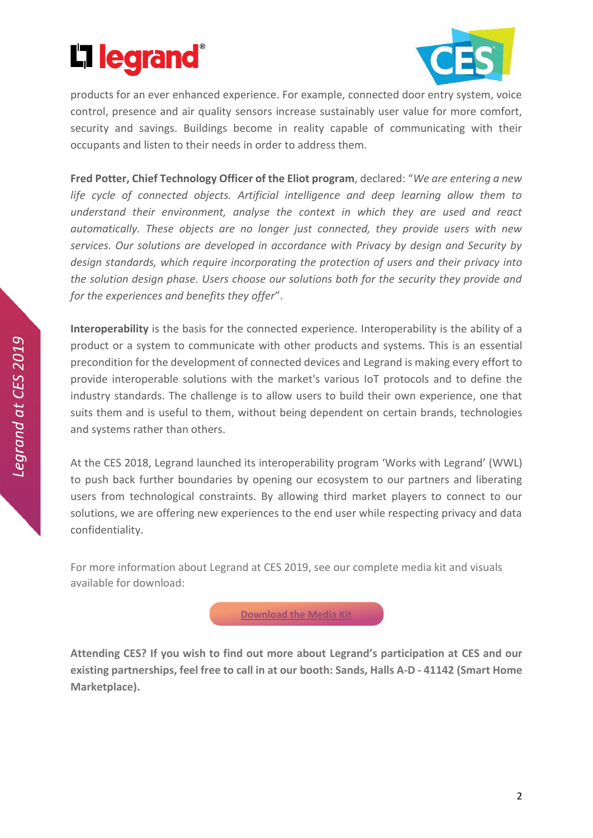



products for an ever enhanced experience. For example, connected door entry system, voice control, presence and air quality sensors increase sustainably user value for more comfort, security and savings. Buildings become in reality capable of communicating with their occupants and listen to their needs in order to address them.

**Fred Potter, Chief Technology Officer of the Eliot program**, declared: "*We are entering a new life cycle of connected objects. Artificial intelligence and deep learning allow them to understand their environment, analyse the context in which they are used and react automatically. These objects are no longer just connected, they provide users with new services. Our solutions are developed in accordance with Privacy by design and Security by design standards, which require incorporating the protection of users and their privacy into the solution design phase. Users choose our solutions both for the security they provide and for the experiences and benefits they offer*".

**Interoperability** is the basis for the connected experience. Interoperability is the ability of a product or a system to communicate with other products and systems. This is an essential precondition for the development of connected devices and Legrand is making every effort to provide interoperable solutions with the market's various IoT protocols and to define the industry standards. The challenge is to allow users to build their own experience, one that suits them and is useful to them, without being dependent on certain brands, technologies and systems rather than others.

At the CES 2018, Legrand launched its interoperability program 'Works with Legrand' (WWL) to push back further boundaries by opening our ecosystem to our partners and liberating users from technological constraints. By allowing third market players to connect to our solutions, we are offering new experiences to the end user while respecting privacy and data confidentiality.

For more information about Legrand at CES 2019, see our complete media kit and visuals available for download:

**[Download the Media Kit](https://lion.box.com/s/vlr9bede3d4vynutxh96l9734umpzrx7)** 

**Attending CES? If you wish to find out more about Legrand's participation at CES and our existing partnerships, feel free to call in at our booth: Sands, Halls A-D - 41142 (Smart Home Marketplace).**